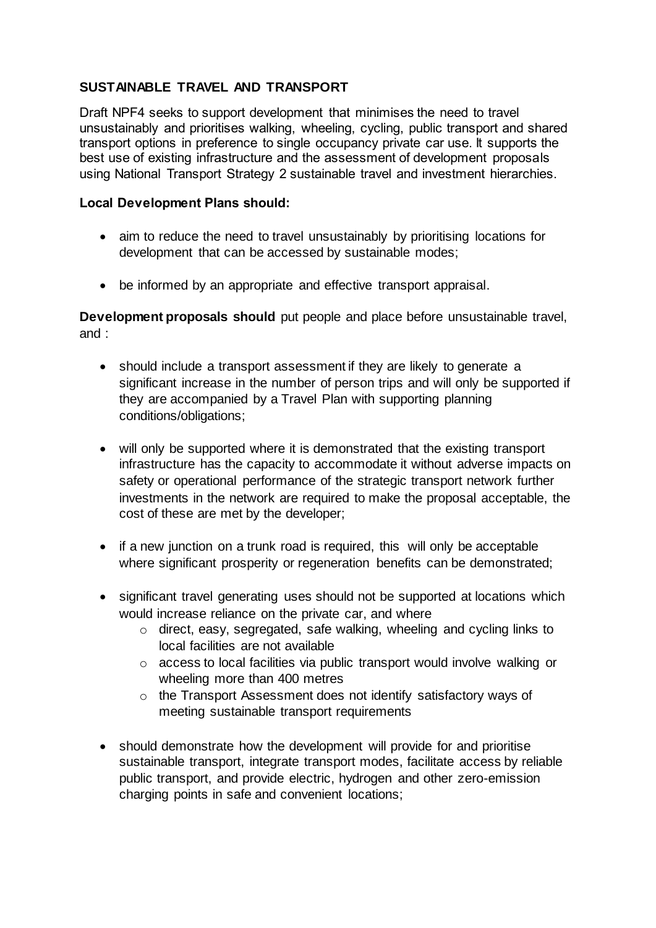## **SUSTAINABLE TRAVEL AND TRANSPORT**

Draft NPF4 seeks to support development that minimises the need to travel unsustainably and prioritises walking, wheeling, cycling, public transport and shared transport options in preference to single occupancy private car use. It supports the best use of existing infrastructure and the assessment of development proposals using National Transport Strategy 2 sustainable travel and investment hierarchies.

## **Local Development Plans should:**

- aim to reduce the need to travel unsustainably by prioritising locations for development that can be accessed by sustainable modes;
- be informed by an appropriate and effective transport appraisal.

**Development proposals should** put people and place before unsustainable travel, and :

- should include a transport assessment if they are likely to generate a significant increase in the number of person trips and will only be supported if they are accompanied by a Travel Plan with supporting planning conditions/obligations;
- will only be supported where it is demonstrated that the existing transport infrastructure has the capacity to accommodate it without adverse impacts on safety or operational performance of the strategic transport network further investments in the network are required to make the proposal acceptable, the cost of these are met by the developer;
- if a new junction on a trunk road is required, this will only be acceptable where significant prosperity or regeneration benefits can be demonstrated;
- significant travel generating uses should not be supported at locations which would increase reliance on the private car, and where
	- o direct, easy, segregated, safe walking, wheeling and cycling links to local facilities are not available
	- o access to local facilities via public transport would involve walking or wheeling more than 400 metres
	- o the Transport Assessment does not identify satisfactory ways of meeting sustainable transport requirements
- should demonstrate how the development will provide for and prioritise sustainable transport, integrate transport modes, facilitate access by reliable public transport, and provide electric, hydrogen and other zero-emission charging points in safe and convenient locations;